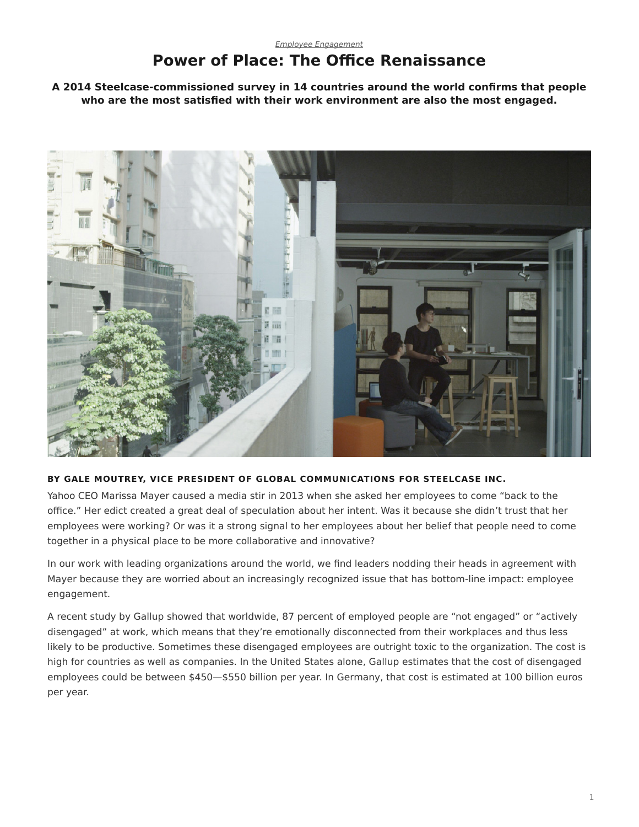## **Power of Place: The Office Renaissance**

<span id="page-0-0"></span>**A 2014 Steelcase-commissioned survey in 14 countries around the world confirms that people who are the most satisfied with their work environment are also the most engaged.**



#### **BY GALE MOUTREY, VICE PRESIDENT OF GLOBAL COMMUNICATIONS FOR STEELCASE INC.**

Yahoo CEO Marissa Mayer caused a media stir in 2013 when she asked her employees to come "back to the office." Her edict created a great deal of speculation about her intent. Was it because she didn't trust that her employees were working? Or was it a strong signal to her employees about her belief that people need to come together in a physical place to be more collaborative and innovative?

In our work with leading organizations around the world, we find leaders nodding their heads in agreement with Mayer because they are worried about an increasingly recognized issue that has bottom-line impact: employee engagement.

A recent study by Gallup showed that worldwide, 87 percent of employed people are "not engaged" or "actively disengaged" at work, which means that they're emotionally disconnected from their workplaces and thus less likely to be productive. Sometimes these disengaged employees are outright toxic to the organization. The cost is high for countries as well as companies. In the United States alone, Gallup estimates that the cost of disengaged employees could be between \$450—\$550 billion per year. In Germany, that cost is estimated at 100 billion euros per year.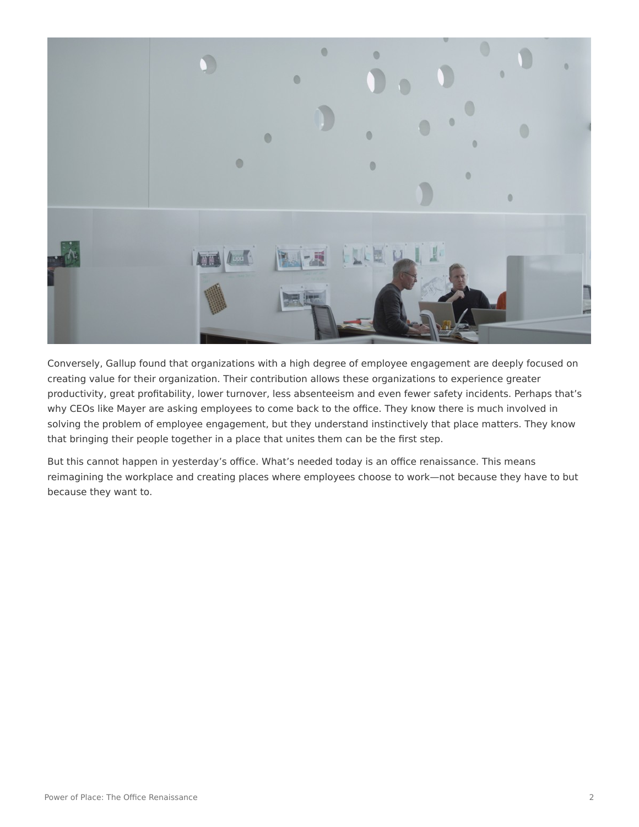

Conversely, Gallup found that organizations with a high degree of employee engagement are deeply focused on creating value for their organization. Their contribution allows these organizations to experience greater productivity, great profitability, lower turnover, less absenteeism and even fewer safety incidents. Perhaps that's why CEOs like Mayer are asking employees to come back to the office. They know there is much involved in solving the problem of employee engagement, but they understand instinctively that place matters. They know that bringing their people together in a place that unites them can be the first step.

But this cannot happen in yesterday's office. What's needed today is an office renaissance. This means reimagining the workplace and creating places where employees choose to work—not because they have to but because they want to.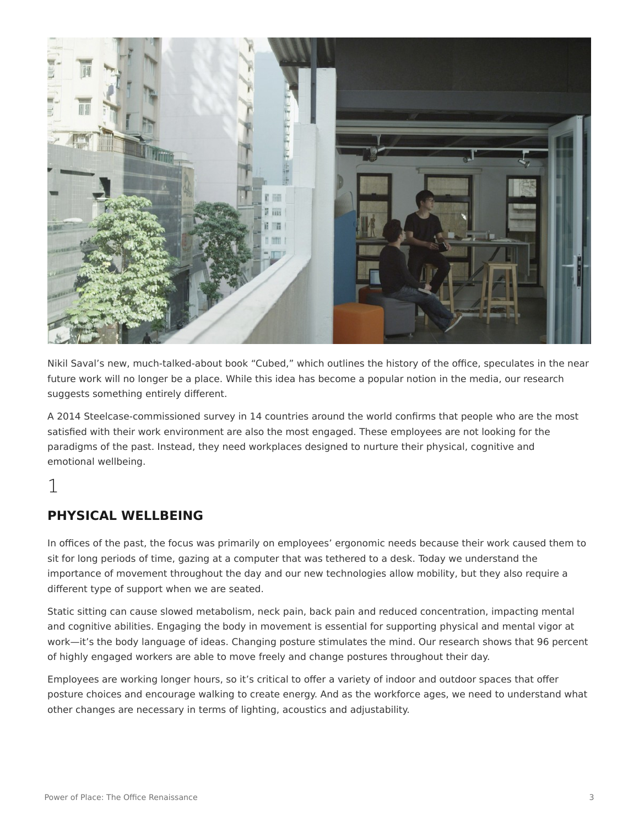

Nikil Saval's new, much-talked-about book "Cubed," which outlines the history of the office, speculates in the near future work will no longer be a place. While this idea has become a popular notion in the media, our research suggests something entirely different.

A 2014 Steelcase-commissioned survey in 14 countries around the world confirms that people who are the most satisfied with their work environment are also the most engaged. These employees are not looking for the paradigms of the past. Instead, they need workplaces designed to nurture their physical, cognitive and emotional wellbeing.

# 1

### **PHYSICAL WELLBEING**

In offices of the past, the focus was primarily on employees' ergonomic needs because their work caused them to sit for long periods of time, gazing at a computer that was tethered to a desk. Today we understand the importance of movement throughout the day and our new technologies allow mobility, but they also require a different type of support when we are seated.

Static sitting can cause slowed metabolism, neck pain, back pain and reduced concentration, impacting mental and cognitive abilities. Engaging the body in movement is essential for supporting physical and mental vigor at work—it's the body language of ideas. Changing posture stimulates the mind. Our research shows that 96 percent of highly engaged workers are able to move freely and change postures throughout their day.

Employees are working longer hours, so it's critical to offer a variety of indoor and outdoor spaces that offer posture choices and encourage walking to create energy. And as the workforce ages, we need to understand what other changes are necessary in terms of lighting, acoustics and adjustability.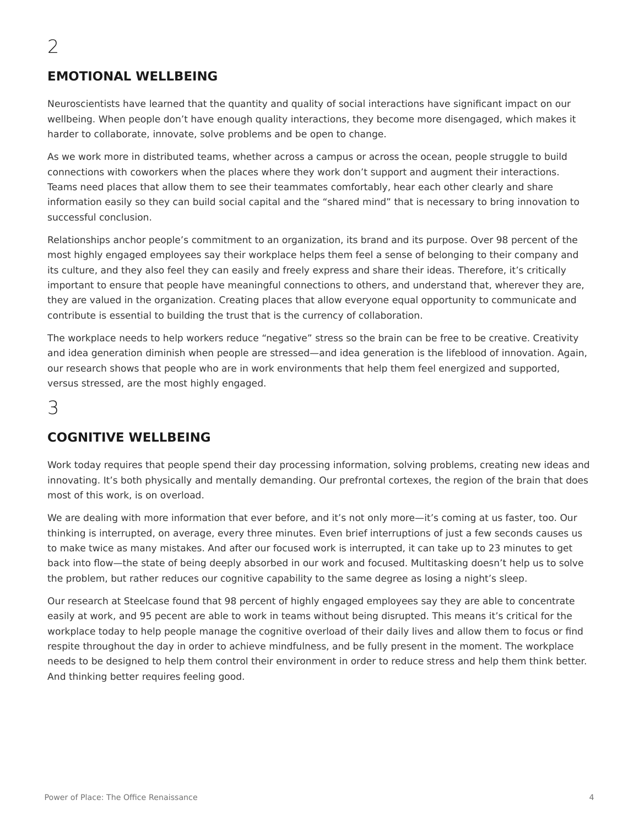#### **EMOTIONAL WELLBEING**

Neuroscientists have learned that the quantity and quality of social interactions have significant impact on our wellbeing. When people don't have enough quality interactions, they become more disengaged, which makes it harder to collaborate, innovate, solve problems and be open to change.

As we work more in distributed teams, whether across a campus or across the ocean, people struggle to build connections with coworkers when the places where they work don't support and augment their interactions. Teams need places that allow them to see their teammates comfortably, hear each other clearly and share information easily so they can build social capital and the "shared mind" that is necessary to bring innovation to successful conclusion.

Relationships anchor people's commitment to an organization, its brand and its purpose. Over 98 percent of the most highly engaged employees say their workplace helps them feel a sense of belonging to their company and its culture, and they also feel they can easily and freely express and share their ideas. Therefore, it's critically important to ensure that people have meaningful connections to others, and understand that, wherever they are, they are valued in the organization. Creating places that allow everyone equal opportunity to communicate and contribute is essential to building the trust that is the currency of collaboration.

The workplace needs to help workers reduce "negative" stress so the brain can be free to be creative. Creativity and idea generation diminish when people are stressed—and idea generation is the lifeblood of innovation. Again, our research shows that people who are in work environments that help them feel energized and supported, versus stressed, are the most highly engaged.

## 3

#### **COGNITIVE WELLBEING**

Work today requires that people spend their day processing information, solving problems, creating new ideas and innovating. It's both physically and mentally demanding. Our prefrontal cortexes, the region of the brain that does most of this work, is on overload.

We are dealing with more information that ever before, and it's not only more—it's coming at us faster, too. Our thinking is interrupted, on average, every three minutes. Even brief interruptions of just a few seconds causes us to make twice as many mistakes. And after our focused work is interrupted, it can take up to 23 minutes to get back into flow—the state of being deeply absorbed in our work and focused. Multitasking doesn't help us to solve the problem, but rather reduces our cognitive capability to the same degree as losing a night's sleep.

Our research at Steelcase found that 98 percent of highly engaged employees say they are able to concentrate easily at work, and 95 pecent are able to work in teams without being disrupted. This means it's critical for the workplace today to help people manage the cognitive overload of their daily lives and allow them to focus or find respite throughout the day in order to achieve mindfulness, and be fully present in the moment. The workplace needs to be designed to help them control their environment in order to reduce stress and help them think better. And thinking better requires feeling good.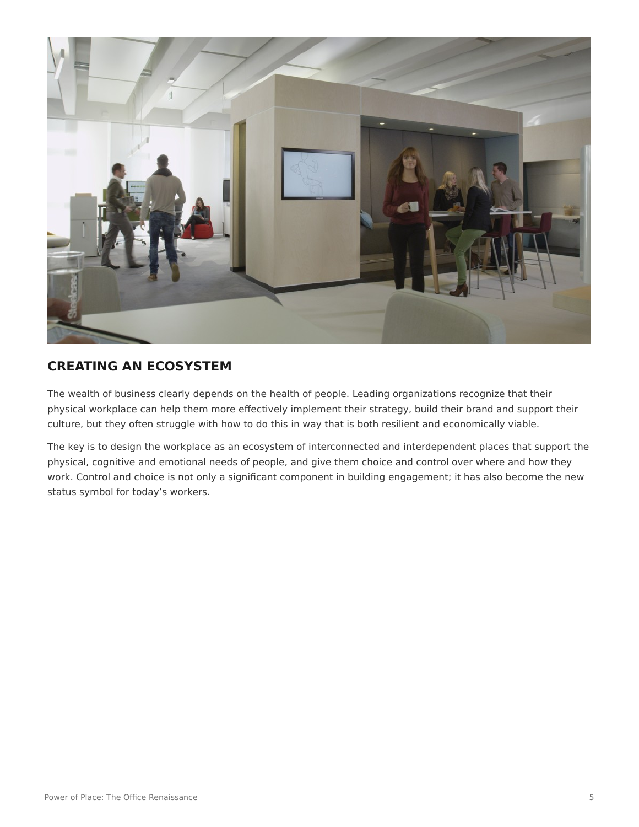

### **CREATING AN ECOSYSTEM**

The wealth of business clearly depends on the health of people. Leading organizations recognize that their physical workplace can help them more effectively implement their strategy, build their brand and support their culture, but they often struggle with how to do this in way that is both resilient and economically viable.

The key is to design the workplace as an ecosystem of interconnected and interdependent places that support the physical, cognitive and emotional needs of people, and give them choice and control over where and how they work. Control and choice is not only a significant component in building engagement; it has also become the new status symbol for today's workers.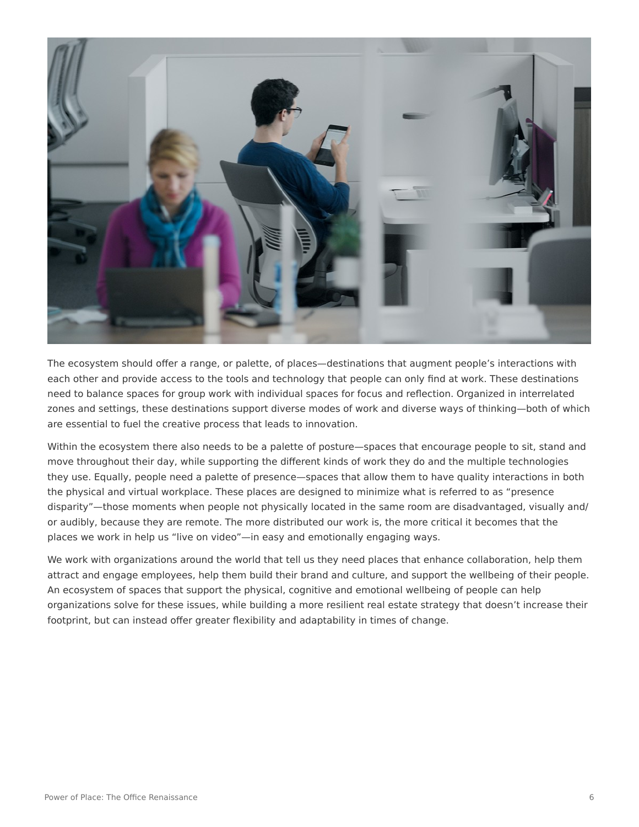

The ecosystem should offer a range, or palette, of places—destinations that augment people's interactions with each other and provide access to the tools and technology that people can only find at work. These destinations need to balance spaces for group work with individual spaces for focus and reflection. Organized in interrelated zones and settings, these destinations support diverse modes of work and diverse ways of thinking—both of which are essential to fuel the creative process that leads to innovation.

Within the ecosystem there also needs to be a palette of posture—spaces that encourage people to sit, stand and move throughout their day, while supporting the different kinds of work they do and the multiple technologies they use. Equally, people need a palette of presence—spaces that allow them to have quality interactions in both the physical and virtual workplace. These places are designed to minimize what is referred to as "presence disparity"—those moments when people not physically located in the same room are disadvantaged, visually and/ or audibly, because they are remote. The more distributed our work is, the more critical it becomes that the places we work in help us "live on video"—in easy and emotionally engaging ways.

We work with organizations around the world that tell us they need places that enhance collaboration, help them attract and engage employees, help them build their brand and culture, and support the wellbeing of their people. An ecosystem of spaces that support the physical, cognitive and emotional wellbeing of people can help organizations solve for these issues, while building a more resilient real estate strategy that doesn't increase their footprint, but can instead offer greater flexibility and adaptability in times of change.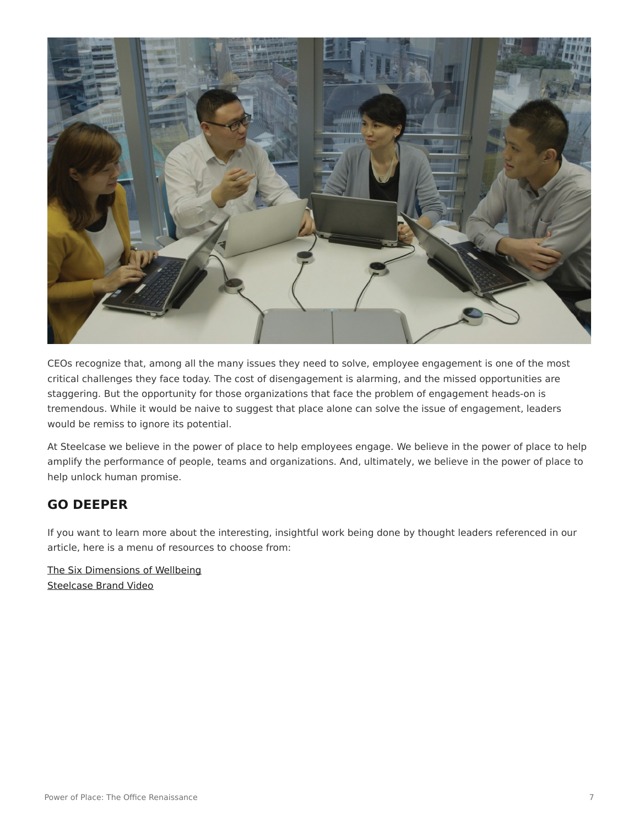

CEOs recognize that, among all the many issues they need to solve, employee engagement is one of the most critical challenges they face today. The cost of disengagement is alarming, and the missed opportunities are staggering. But the opportunity for those organizations that face the problem of engagement heads-on is tremendous. While it would be naive to suggest that place alone can solve the issue of engagement, leaders would be remiss to ignore its potential.

At Steelcase we believe in the power of place to help employees engage. We believe in the power of place to help amplify the performance of people, teams and organizations. And, ultimately, we believe in the power of place to help unlock human promise.

#### **GO DEEPER**

If you want to learn more about the interesting, insightful work being done by thought leaders referenced in our article, here is a menu of resources to choose from:

[The Six Dimensions of Wellbeing](http://youtu.be/WttK10hp5kM) [Steelcase Brand Video](https://www.youtube.com/watch?v=yyPQP9o-7Tc)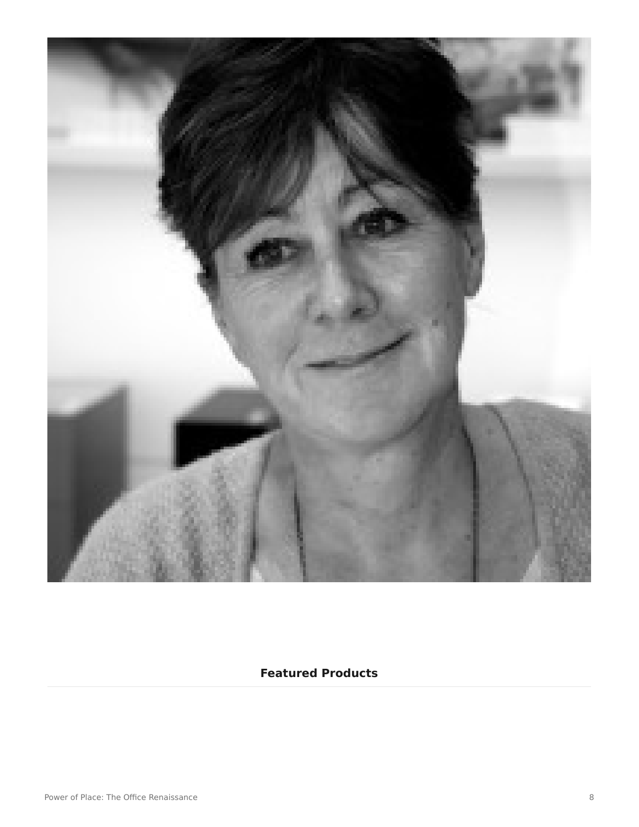

#### **Featured Products**